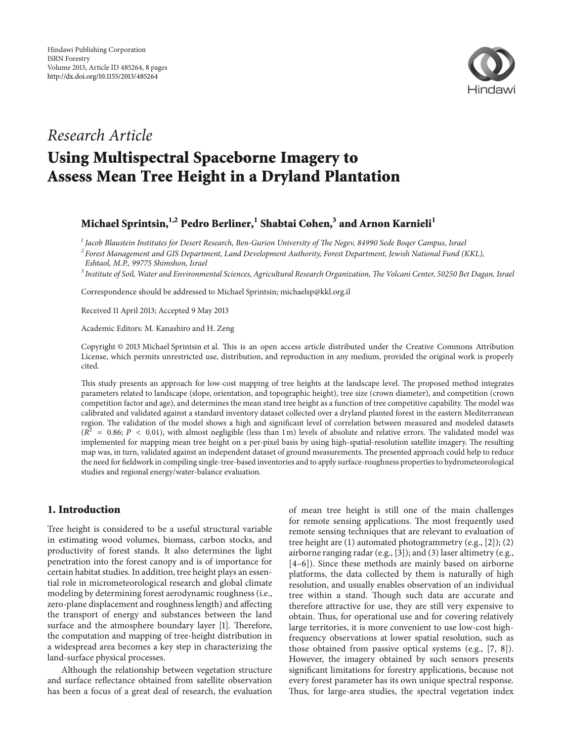

## Research Article

# Using Multispectral Spaceborne Imagery to Assess Mean Tree Height in a Dryland Plantation

### Michael Sprintsin, <sup>1,2</sup> Pedro Berliner, <sup>1</sup> Shabtai Cohen, <sup>3</sup> and Arnon Karnieli<sup>1</sup>

1 Jacob Blaustein Institutes for Desert Research, Ben-Gurion University of The Negev, 84990 Sede Boqer Campus, Israel

<sup>2</sup> Forest Management and GIS Department, Land Development Authority, Forest Department, Jewish National Fund (KKL),

 $^3$  Institute of Soil, Water and Environmental Sciences, Agricultural Research Organization, The Volcani Center, 50250 Bet Dagan, Israel

Correspondence should be addressed to Michael Sprintsin; michaelsp@kkl.org.il

Received 11 April 2013; Accepted 9 May 2013

Academic Editors: M. Kanashiro and H. Zeng

Copyright © 2013 Michael Sprintsin et al. This is an open access article distributed under the Creative Commons Attribution License, which permits unrestricted use, distribution, and reproduction in any medium, provided the original work is properly cited.

This study presents an approach for low-cost mapping of tree heights at the landscape level. The proposed method integrates parameters related to landscape (slope, orientation, and topographic height), tree size (crown diameter), and competition (crown competition factor and age), and determines the mean stand tree height as a function of tree competitive capability. The model was calibrated and validated against a standard inventory dataset collected over a dryland planted forest in the eastern Mediterranean region. The validation of the model shows a high and significant level of correlation between measured and modeled datasets  $(R^2 = 0.86; P < 0.01)$ , with almost negligible (less than 1 m) levels of absolute and relative errors. The validated model was implemented for mapping mean tree height on a per-pixel basis by using high-spatial-resolution satellite imagery. The resulting map was, in turn, validated against an independent dataset of ground measurements. The presented approach could help to reduce the need for fieldwork in compiling single-tree-based inventories and to apply surface-roughness properties to hydrometeorological studies and regional energy/water-balance evaluation.

#### 1. Introduction

Tree height is considered to be a useful structural variable in estimating wood volumes, biomass, carbon stocks, and productivity of forest stands. It also determines the light penetration into the forest canopy and is of importance for certain habitat studies. In addition, tree height plays an essential role in micrometeorological research and global climate modeling by determining forest aerodynamic roughness (i.e., zero-plane displacement and roughness length) and affecting the transport of energy and substances between the land surface and the atmosphere boundary layer [1]. Therefore, the computation and mapping of tree-height distribution in a widespread area becomes a key step in characterizing the land-surface physical processes.

Although the relationship between vegetation structure and surface reflectance obtained from satellite observation has been a focus of a great deal of research, the evaluation

of mean tree height is still one of the main challenges for remote sensing applications. The most frequently used remote sensing techniques that are relevant to evaluation of tree height are (1) automated photogrammetry (e.g., [2]); (2) airborne ranging radar (e.g., [3]); and (3) laser altimetry (e.g., [4–6]). Since these methods are mainly based on airborne platforms, the data collected by them is naturally of high resolution, and usually enables observation of an individual tree within a stand. Though such data are accurate and therefore attractive for use, they are still very expensive to obtain. Thus, for operational use and for covering relatively large territories, it is more convenient to use low-cost highfrequency observations at lower spatial resolution, such as those obtained from passive optical systems (e.g., [7, 8]). However, the imagery obtained by such sensors presents significant limitations for forestry applications, because not every forest parameter has its own unique spectral response. Thus, for large-area studies, the spectral vegetation index

Eshtaol, M.P., 99775 Shimshon, Israel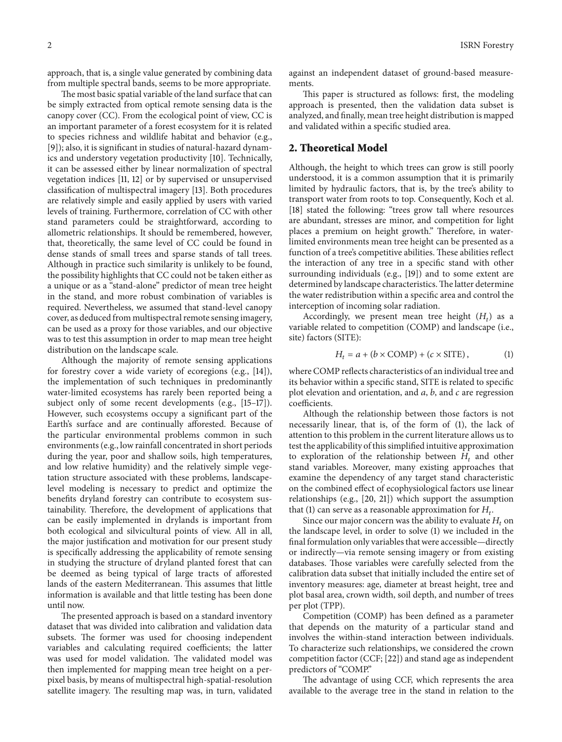approach, that is, a single value generated by combining data from multiple spectral bands, seems to be more appropriate.

The most basic spatial variable of the land surface that can be simply extracted from optical remote sensing data is the canopy cover (CC). From the ecological point of view, CC is an important parameter of a forest ecosystem for it is related to species richness and wildlife habitat and behavior (e.g., [9]); also, it is significant in studies of natural-hazard dynamics and understory vegetation productivity [10]. Technically, it can be assessed either by linear normalization of spectral vegetation indices [11, 12] or by supervised or unsupervised classification of multispectral imagery [13]. Both procedures are relatively simple and easily applied by users with varied levels of training. Furthermore, correlation of CC with other stand parameters could be straightforward, according to allometric relationships. It should be remembered, however, that, theoretically, the same level of CC could be found in dense stands of small trees and sparse stands of tall trees. Although in practice such similarity is unlikely to be found, the possibility highlights that CC could not be taken either as a unique or as a "stand-alone" predictor of mean tree height in the stand, and more robust combination of variables is required. Nevertheless, we assumed that stand-level canopy cover, as deduced from multispectral remote sensing imagery, can be used as a proxy for those variables, and our objective was to test this assumption in order to map mean tree height distribution on the landscape scale.

Although the majority of remote sensing applications for forestry cover a wide variety of ecoregions (e.g., [14]), the implementation of such techniques in predominantly water-limited ecosystems has rarely been reported being a subject only of some recent developments (e.g., [15–17]). However, such ecosystems occupy a significant part of the Earth's surface and are continually afforested. Because of the particular environmental problems common in such environments (e.g., low rainfall concentrated in short periods during the year, poor and shallow soils, high temperatures, and low relative humidity) and the relatively simple vegetation structure associated with these problems, landscapelevel modeling is necessary to predict and optimize the benefits dryland forestry can contribute to ecosystem sustainability. Therefore, the development of applications that can be easily implemented in drylands is important from both ecological and silvicultural points of view. All in all, the major justification and motivation for our present study is specifically addressing the applicability of remote sensing in studying the structure of dryland planted forest that can be deemed as being typical of large tracts of afforested lands of the eastern Mediterranean. This assumes that little information is available and that little testing has been done until now.

The presented approach is based on a standard inventory dataset that was divided into calibration and validation data subsets. The former was used for choosing independent variables and calculating required coefficients; the latter was used for model validation. The validated model was then implemented for mapping mean tree height on a perpixel basis, by means of multispectral high-spatial-resolution satellite imagery. The resulting map was, in turn, validated

against an independent dataset of ground-based measurements.

This paper is structured as follows: first, the modeling approach is presented, then the validation data subset is analyzed, and finally, mean tree height distribution is mapped and validated within a specific studied area.

#### 2. Theoretical Model

Although, the height to which trees can grow is still poorly understood, it is a common assumption that it is primarily limited by hydraulic factors, that is, by the tree's ability to transport water from roots to top. Consequently, Koch et al. [18] stated the following: "trees grow tall where resources are abundant, stresses are minor, and competition for light places a premium on height growth." Therefore, in waterlimited environments mean tree height can be presented as a function of a tree's competitive abilities. These abilities reflect the interaction of any tree in a specific stand with other surrounding individuals (e.g., [19]) and to some extent are determined by landscape characteristics.The latter determine the water redistribution within a specific area and control the interception of incoming solar radiation.

Accordingly, we present mean tree height  $(H_t)$  as a variable related to competition (COMP) and landscape (i.e., site) factors (SITE):

$$
H_t = a + (b \times \text{COMP}) + (c \times \text{STTE}), \tag{1}
$$

where COMP reflects characteristics of an individual tree and its behavior within a specific stand, SITE is related to specific plot elevation and orientation, and  $a, b$ , and  $c$  are regression coefficients.

Although the relationship between those factors is not necessarily linear, that is, of the form of (1), the lack of attention to this problem in the current literature allows us to test the applicability of this simplified intuitive approximation to exploration of the relationship between  $H_t$  and other stand variables. Moreover, many existing approaches that examine the dependency of any target stand characteristic on the combined effect of ecophysiological factors use linear relationships (e.g., [20, 21]) which support the assumption that (1) can serve as a reasonable approximation for  $H_t$ .

Since our major concern was the ability to evaluate  $H_t$  on the landscape level, in order to solve (1) we included in the final formulation only variables that were accessible—directly or indirectly—via remote sensing imagery or from existing databases. Those variables were carefully selected from the calibration data subset that initially included the entire set of inventory measures: age, diameter at breast height, tree and plot basal area, crown width, soil depth, and number of trees per plot (TPP).

Competition (COMP) has been defined as a parameter that depends on the maturity of a particular stand and involves the within-stand interaction between individuals. To characterize such relationships, we considered the crown competition factor (CCF; [22]) and stand age as independent predictors of "COMP."

The advantage of using CCF, which represents the area available to the average tree in the stand in relation to the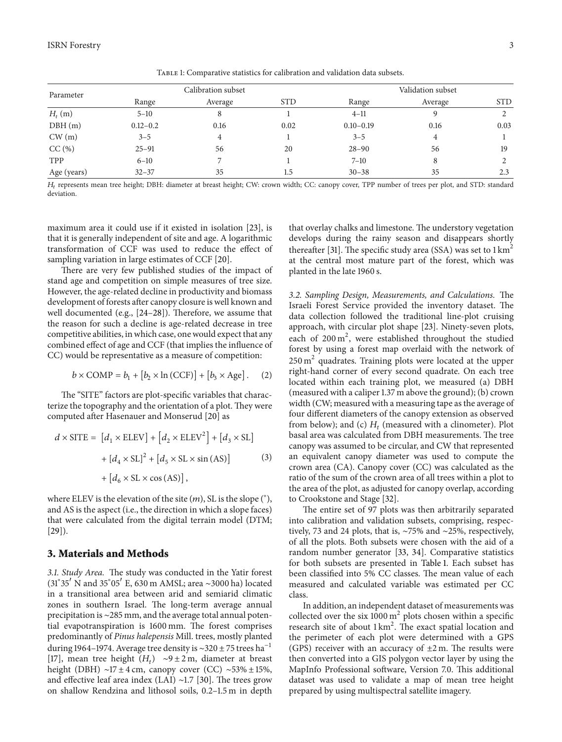Table 1: Comparative statistics for calibration and validation data subsets.

| Parameter   | Calibration subset |         |            | Validation subset |         |            |
|-------------|--------------------|---------|------------|-------------------|---------|------------|
|             | Range              | Average | <b>STD</b> | Range             | Average | <b>STD</b> |
| $H_t(m)$    | $5 - 10$           | 8       |            | $4 - 11$          | 9       |            |
| DBH(m)      | $0.12 - 0.2$       | 0.16    | 0.02       | $0.10 - 0.19$     | 0.16    | 0.03       |
| CW(m)       | $3 - 5$            | 4       |            | $3 - 5$           | 4       |            |
| CC(%)       | $25 - 91$          | 56      | 20         | $28 - 90$         | 56      | 19         |
| TPP         | $6 - 10$           |         |            | $7 - 10$          | 8       |            |
| Age (years) | $32 - 37$          | 35      | 1.5        | $30 - 38$         | 35      | 2.3        |

 $H_t$  represents mean tree height; DBH: diameter at breast height; CW: crown width; CC: canopy cover, TPP number of trees per plot, and STD: standard deviation.

maximum area it could use if it existed in isolation [23], is that it is generally independent of site and age. A logarithmic transformation of CCF was used to reduce the effect of sampling variation in large estimates of CCF [20].

There are very few published studies of the impact of stand age and competition on simple measures of tree size. However, the age-related decline in productivity and biomass development of forests after canopy closure is well known and well documented (e.g., [24–28]). Therefore, we assume that the reason for such a decline is age-related decrease in tree competitive abilities, in which case, one would expect that any combined effect of age and CCF (that implies the influence of CC) would be representative as a measure of competition:

$$
b \times \text{COMP} = b_1 + [b_2 \times \ln(\text{CCF})] + [b_3 \times \text{Age}]. \quad (2)
$$

The "SITE" factors are plot-specific variables that characterize the topography and the orientation of a plot. They were computed after Hasenauer and Monserud [20] as

$$
d \times \text{STTE} = [d_1 \times \text{ELEV}] + [d_2 \times \text{ELEV}^2] + [d_3 \times \text{SL}]
$$

$$
+ [d_4 \times \text{SL}]^2 + [d_5 \times \text{SL} \times \sin(\text{AS})]
$$

$$
+ [d_6 \times \text{SL} \times \cos(\text{AS})],
$$

$$
(3)
$$

where ELEV is the elevation of the site  $(m)$ , SL is the slope ( $\degree$ ), and AS is the aspect (i.e., the direction in which a slope faces) that were calculated from the digital terrain model (DTM; [29]).

#### 3. Materials and Methods

3.1. Study Area. The study was conducted in the Yatir forest (31<sup>∘</sup> 35 N and 35<sup>∘</sup> 05 E, 630 m AMSL; area ∼3000 ha) located in a transitional area between arid and semiarid climatic zones in southern Israel. The long-term average annual precipitation is ∼285 mm, and the average total annual potential evapotranspiration is 1600 mm. The forest comprises predominantly of Pinus halepensis Mill. trees, mostly planted during 1964–1974. Average tree density is ~320 ± 75 trees ha<sup>-1</sup> [17], mean tree height  $(H_t) \sim 9 \pm 2 \,\text{m}$ , diameter at breast height (DBH) ∼17 ± 4 cm, canopy cover (CC) ∼53% ± 15%, and effective leaf area index (LAI) ∼1.7 [30]. The trees grow on shallow Rendzina and lithosol soils, 0.2–1.5 m in depth that overlay chalks and limestone. The understory vegetation develops during the rainy season and disappears shortly thereafter [31]. The specific study area (SSA) was set to  $1 \text{ km}^2$ at the central most mature part of the forest, which was planted in the late 1960 s.

3.2. Sampling Design, Measurements, and Calculations. The Israeli Forest Service provided the inventory dataset. The data collection followed the traditional line-plot cruising approach, with circular plot shape [23]. Ninety-seven plots, each of  $200 \text{ m}^2$ , were established throughout the studied forest by using a forest map overlaid with the network of  $250 \text{ m}^2$  quadrates. Training plots were located at the upper right-hand corner of every second quadrate. On each tree located within each training plot, we measured (a) DBH (measured with a caliper 1.37 m above the ground); (b) crown width (CW; measured with a measuring tape as the average of four different diameters of the canopy extension as observed from below); and (c)  $H_t$  (measured with a clinometer). Plot basal area was calculated from DBH measurements. The tree canopy was assumed to be circular, and CW that represented an equivalent canopy diameter was used to compute the crown area (CA). Canopy cover (CC) was calculated as the ratio of the sum of the crown area of all trees within a plot to the area of the plot, as adjusted for canopy overlap, according to Crookstone and Stage [32].

The entire set of 97 plots was then arbitrarily separated into calibration and validation subsets, comprising, respectively, 73 and 24 plots, that is, ∼75% and ∼25%, respectively, of all the plots. Both subsets were chosen with the aid of a random number generator [33, 34]. Comparative statistics for both subsets are presented in Table 1. Each subset has been classified into 5% CC classes. The mean value of each measured and calculated variable was estimated per CC class.

In addition, an independent dataset of measurements was collected over the six  $1000 \text{ m}^2$  plots chosen within a specific research site of about  $1 \text{ km}^2$ . The exact spatial location and the perimeter of each plot were determined with a GPS (GPS) receiver with an accuracy of  $\pm 2$  m. The results were then converted into a GIS polygon vector layer by using the MapInfo Professional software, Version 7.0. This additional dataset was used to validate a map of mean tree height prepared by using multispectral satellite imagery.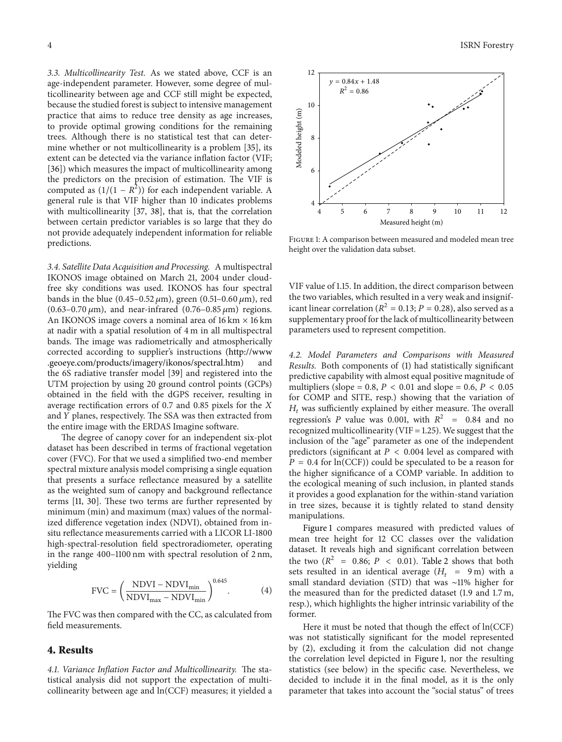3.3. Multicollinearity Test. As we stated above, CCF is an age-independent parameter. However, some degree of multicollinearity between age and CCF still might be expected, because the studied forest is subject to intensive management practice that aims to reduce tree density as age increases, to provide optimal growing conditions for the remaining trees. Although there is no statistical test that can determine whether or not multicollinearity is a problem [35], its extent can be detected via the variance inflation factor (VIF; [36]) which measures the impact of multicollinearity among the predictors on the precision of estimation. The VIF is computed as  $(1/(1 - R^2))$  for each independent variable. A general rule is that VIF higher than 10 indicates problems with multicollinearity [37, 38], that is, that the correlation between certain predictor variables is so large that they do not provide adequately independent information for reliable predictions.

3.4. Satellite Data Acquisition and Processing. A multispectral IKONOS image obtained on March 21, 2004 under cloudfree sky conditions was used. IKONOS has four spectral bands in the blue (0.45–0.52  $\mu$ m), green (0.51–0.60  $\mu$ m), red (0.63–0.70  $\mu$ m), and near-infrared (0.76–0.85  $\mu$ m) regions. An IKONOS image covers a nominal area of 16 km  $\times$  16 km at nadir with a spatial resolution of 4 m in all multispectral bands. The image was radiometrically and atmospherically corrected according to supplier's instructions (http://www .geoeye.com/products/imagery/ikonos/spectral.htm) and the 6S radiative transfer model [39] and registered into the UTM projection by using 20 ground control points (GCPs) obtained in the field with the dGPS receiver, resulting in average rectification errors of  $0.7$  and  $0.85$  pixels for the X and  $Y$  planes, respectively. The SSA was then extracted from the entire image with the ERDAS Imagine software.

The degree of canopy cover for an independent six-plot dataset has been described in terms of fractional vegetation cover (FVC). For that we used a simplified two-end member spectral mixture analysis model comprising a single equation that presents a surface reflectance measured by a satellite as the weighted sum of canopy and background reflectance terms [11, 30]. These two terms are further represented by minimum (min) and maximum (max) values of the normalized difference vegetation index (NDVI), obtained from insitu reflectance measurements carried with a LICOR LI-1800 high-spectral-resolution field spectroradiometer, operating in the range 400–1100 nm with spectral resolution of 2 nm, yielding

$$
FVC = \left(\frac{\text{NDVI} - \text{NDVI}_{\text{min}}}{\text{NDVI}_{\text{max}} - \text{NDVI}_{\text{min}}}\right)^{0.645}.
$$
 (4)

The FVC was then compared with the CC, as calculated from field measurements.

#### 4. Results

4.1. Variance Inflation Factor and Multicollinearity. The statistical analysis did not support the expectation of multicollinearity between age and ln(CCF) measures; it yielded a



Figure 1: A comparison between measured and modeled mean tree height over the validation data subset.

VIF value of 1.15. In addition, the direct comparison between the two variables, which resulted in a very weak and insignificant linear correlation ( $R^2 = 0.13$ ;  $P = 0.28$ ), also served as a supplementary proof for the lack of multicollinearity between parameters used to represent competition.

4.2. Model Parameters and Comparisons with Measured Results. Both components of (1) had statistically significant predictive capability with almost equal positive magnitude of multipliers (slope = 0.8,  $P < 0.01$  and slope = 0.6,  $P < 0.05$ for COMP and SITE, resp.) showing that the variation of  $H_t$  was sufficiently explained by either measure. The overall regression's P value was 0.001, with  $R^2$  = 0.84 and no recognized multicollinearity (VIF = 1.25). We suggest that the inclusion of the "age" parameter as one of the independent predictors (significant at  $P < 0.004$  level as compared with  $P = 0.4$  for ln(CCF)) could be speculated to be a reason for the higher significance of a COMP variable. In addition to the ecological meaning of such inclusion, in planted stands it provides a good explanation for the within-stand variation in tree sizes, because it is tightly related to stand density manipulations.

Figure 1 compares measured with predicted values of mean tree height for 12 CC classes over the validation dataset. It reveals high and significant correlation between the two  $(R^2 = 0.86; P < 0.01)$ . Table 2 shows that both sets resulted in an identical average  $(H_t = 9 \text{ m})$  with a small standard deviation (STD) that was ∼11% higher for the measured than for the predicted dataset (1.9 and 1.7 m, resp.), which highlights the higher intrinsic variability of the former.

Here it must be noted that though the effect of ln(CCF) was not statistically significant for the model represented by (2), excluding it from the calculation did not change the correlation level depicted in Figure 1, nor the resulting statistics (see below) in the specific case. Nevertheless, we decided to include it in the final model, as it is the only parameter that takes into account the "social status" of trees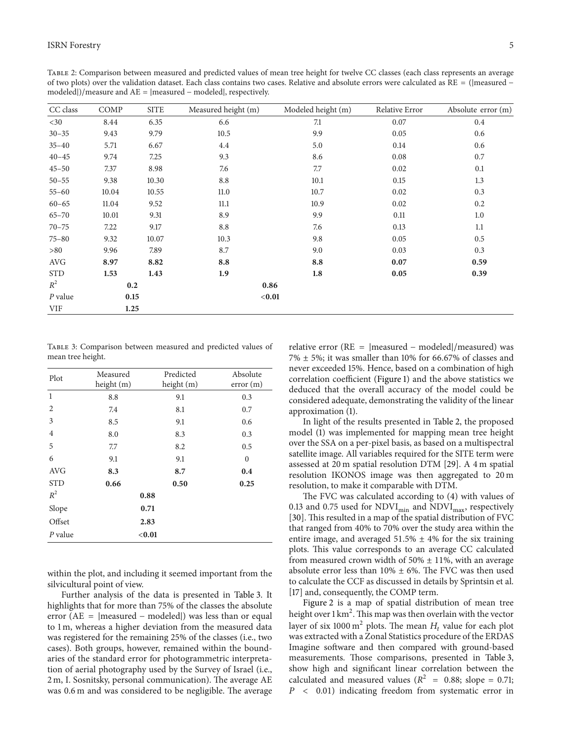Table 2: Comparison between measured and predicted values of mean tree height for twelve CC classes (each class represents an average of two plots) over the validation dataset. Each class contains two cases. Relative and absolute errors were calculated as RE = (|measured − modeled|)/measure and AE = |measured − modeled|, respectively.

| CC class   | COMP  | <b>SITE</b> | Measured height (m) | Modeled height (m) | Relative Error | Absolute error (m) |
|------------|-------|-------------|---------------------|--------------------|----------------|--------------------|
| $<$ 30     | 8.44  | 6.35        | 6.6                 | 7.1                | 0.07           | $0.4\,$            |
| $30 - 35$  | 9.43  | 9.79        | 10.5                | 9.9                | 0.05           | 0.6                |
| $35 - 40$  | 5.71  | 6.67        | 4.4                 | 5.0                | 0.14           | 0.6                |
| $40 - 45$  | 9.74  | 7.25        | 9.3                 | 8.6                | 0.08           | 0.7                |
| $45 - 50$  | 7.37  | 8.98        | 7.6                 | 7.7                | 0.02           | 0.1                |
| $50 - 55$  | 9.38  | 10.30       | 8.8                 | 10.1               | 0.15           | 1.3                |
| $55 - 60$  | 10.04 | 10.55       | 11.0                | 10.7               | 0.02           | 0.3                |
| $60 - 65$  | 11.04 | 9.52        | 11.1                | 10.9               | 0.02           | 0.2                |
| $65 - 70$  | 10.01 | 9.31        | 8.9                 | 9.9                | 0.11           | $1.0\,$            |
| $70 - 75$  | 7.22  | 9.17        | 8.8                 | 7.6                | 0.13           | 1.1                |
| $75 - 80$  | 9.32  | 10.07       | 10.3                | 9.8                | 0.05           | 0.5                |
| >80        | 9.96  | 7.89        | 8.7                 | 9.0                | 0.03           | 0.3                |
| <b>AVG</b> | 8.97  | 8.82        | 8.8                 | 8.8                | 0.07           | 0.59               |
| <b>STD</b> | 1.53  | 1.43        | 1.9                 | 1.8                | 0.05           | 0.39               |
| $R^2$      | 0.2   |             | 0.86                |                    |                |                    |
| $P$ value  | 0.15  |             | < 0.01              |                    |                |                    |
| <b>VIF</b> | 1.25  |             |                     |                    |                |                    |

Table 3: Comparison between measured and predicted values of mean tree height.

| Plot           | Measured<br>height (m) | Predicted<br>height (m) | Absolute<br>error(m) |  |  |  |
|----------------|------------------------|-------------------------|----------------------|--|--|--|
| 1              | 8.8                    | 9.1                     | 0.3                  |  |  |  |
| $\overline{2}$ | 7.4                    | 8.1                     | 0.7                  |  |  |  |
| 3              | 8.5                    | 9.1                     | 0.6                  |  |  |  |
| $\overline{4}$ | 8.0                    | 8.3                     | 0.3                  |  |  |  |
| 5              | 7.7                    | 8.2                     | 0.5                  |  |  |  |
| 6              | 9.1                    | 9.1                     | $\theta$             |  |  |  |
| <b>AVG</b>     | 8.3                    | 8.7                     | 0.4                  |  |  |  |
| <b>STD</b>     | 0.66                   | 0.50                    | 0.25                 |  |  |  |
| $R^2$          | 0.88                   |                         |                      |  |  |  |
| Slope          | 0.71                   |                         |                      |  |  |  |
| Offset         | 2.83                   |                         |                      |  |  |  |
| P value        | < 0.01                 |                         |                      |  |  |  |

within the plot, and including it seemed important from the silvicultural point of view.

Further analysis of the data is presented in Table 3. It highlights that for more than 75% of the classes the absolute error ( $AE =$  |measured – modeled|) was less than or equal to 1 m, whereas a higher deviation from the measured data was registered for the remaining 25% of the classes (i.e., two cases). Both groups, however, remained within the boundaries of the standard error for photogrammetric interpretation of aerial photography used by the Survey of Israel (i.e., 2 m, I. Sosnitsky, personal communication). The average AE was 0.6 m and was considered to be negligible. The average relative error (RE = |measured − modeled|/measured) was  $7\% \pm 5\%$ ; it was smaller than 10% for 66.67% of classes and never exceeded 15%. Hence, based on a combination of high correlation coefficient (Figure 1) and the above statistics we deduced that the overall accuracy of the model could be considered adequate, demonstrating the validity of the linear approximation (1).

In light of the results presented in Table 2, the proposed model (1) was implemented for mapping mean tree height over the SSA on a per-pixel basis, as based on a multispectral satellite image. All variables required for the SITE term were assessed at 20 m spatial resolution DTM [29]. A 4 m spatial resolution IKONOS image was then aggregated to 20 m resolution, to make it comparable with DTM.

The FVC was calculated according to (4) with values of 0.13 and 0.75 used for  $NDVI_{min}$  and  $NDVI_{max}$ , respectively [30]. This resulted in a map of the spatial distribution of FVC that ranged from 40% to 70% over the study area within the entire image, and averaged  $51.5\% \pm 4\%$  for the six training plots. This value corresponds to an average CC calculated from measured crown width of 50%  $\pm$  11%, with an average absolute error less than  $10\% \pm 6\%$ . The FVC was then used to calculate the CCF as discussed in details by Sprintsin et al. [17] and, consequently, the COMP term.

Figure 2 is a map of spatial distribution of mean tree height over  $1 \text{ km}^2$ . This map was then overlain with the vector layer of six 1000 m<sup>2</sup> plots. The mean  $H_t$  value for each plot was extracted with a Zonal Statistics procedure of the ERDAS Imagine software and then compared with ground-based measurements. Those comparisons, presented in Table 3, show high and significant linear correlation between the calculated and measured values ( $R^2$  = 0.88; slope = 0.71;  $P \sim 0.01$ ) indicating freedom from systematic error in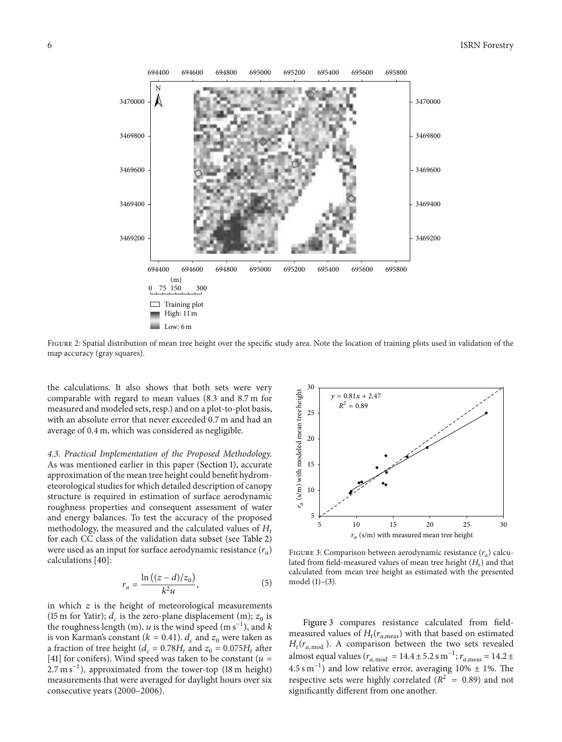

FIGURE 2: Spatial distribution of mean tree height over the specific study area. Note the location of training plots used in validation of the map accuracy (gray squares).

the calculations. It also shows that both sets were very comparable with regard to mean values (8.3 and 8.7 m for measured and modeled sets, resp.) and on a plot-to-plot basis, with an absolute error that never exceeded 0.7 m and had an average of 0.4 m, which was considered as negligible.

4.3. Practical Implementation of the Proposed Methodology. As was mentioned earlier in this paper (Section 1), accurate approximation of the mean tree height could benefit hydrometeorological studies for which detailed description of canopy structure is required in estimation of surface aerodynamic roughness properties and consequent assessment of water and energy balances. To test the accuracy of the proposed methodology, the measured and the calculated values of  $H_t$ for each CC class of the validation data subset (see Table 2) were used as an input for surface aerodynamic resistance  $(r_a)$ calculations [40]:

$$
r_a = \frac{\ln\left((z-d)/z_0\right)}{k^2 u},\tag{5}
$$

in which  $z$  is the height of meteorological measurements (15 m for Yatir);  $d_c$  is the zero-plane displacement (m);  $z_0$  is the roughness length (m),  $u$  is the wind speed (m s<sup>-1</sup>), and  $k$ is von Karman's constant ( $k = 0.41$ ).  $d_c$  and  $z_0$  were taken as a fraction of tree height ( $d_c = 0.78H_t$  and  $z_0 = 0.075H_t$  after [41] for conifers). Wind speed was taken to be constant ( $u =$  $2.7 \text{ m s}^{-1}$ ), approximated from the tower-top (18 m height) measurements that were averaged for daylight hours over six consecutive years (2000–2006).



FIGURE 3: Comparison between aerodynamic resistance  $(r_a)$  calculated from field-measured values of mean tree height  $(H_t)$  and that calculated from mean tree height as estimated with the presented model (1)–(3).

Figure 3 compares resistance calculated from fieldmeasured values of  $H_t(r_{a,\text{meas}})$  with that based on estimated  $H_t(r_{a,\text{mod}})$ . A comparison between the two sets revealed almost equal values ( $r_{a,\text{mod}} = 14.4 \pm 5.2 \text{ s m}^{-1}$ ;  $r_{a,\text{meas}} = 14.2 \pm 1.2 \pm 1.0$ 4.5 s m<sup>-1</sup>) and low relative error, averaging 10%  $\pm$  1%. The respective sets were highly correlated ( $R^2 = 0.89$ ) and not significantly different from one another.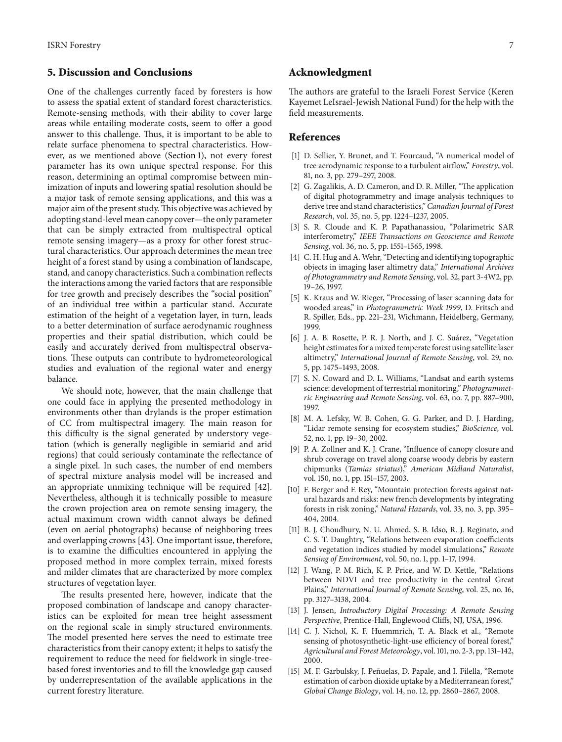#### 5. Discussion and Conclusions

One of the challenges currently faced by foresters is how to assess the spatial extent of standard forest characteristics. Remote-sensing methods, with their ability to cover large areas while entailing moderate costs, seem to offer a good answer to this challenge. Thus, it is important to be able to relate surface phenomena to spectral characteristics. However, as we mentioned above (Section 1), not every forest parameter has its own unique spectral response. For this reason, determining an optimal compromise between minimization of inputs and lowering spatial resolution should be a major task of remote sensing applications, and this was a major aim of the present study.This objective was achieved by adopting stand-level mean canopy cover—the only parameter that can be simply extracted from multispectral optical remote sensing imagery—as a proxy for other forest structural characteristics. Our approach determines the mean tree height of a forest stand by using a combination of landscape, stand, and canopy characteristics. Such a combination reflects the interactions among the varied factors that are responsible for tree growth and precisely describes the "social position" of an individual tree within a particular stand. Accurate estimation of the height of a vegetation layer, in turn, leads to a better determination of surface aerodynamic roughness properties and their spatial distribution, which could be easily and accurately derived from multispectral observations. These outputs can contribute to hydrometeorological studies and evaluation of the regional water and energy balance.

We should note, however, that the main challenge that one could face in applying the presented methodology in environments other than drylands is the proper estimation of CC from multispectral imagery. The main reason for this difficulty is the signal generated by understory vegetation (which is generally negligible in semiarid and arid regions) that could seriously contaminate the reflectance of a single pixel. In such cases, the number of end members of spectral mixture analysis model will be increased and an appropriate unmixing technique will be required [42]. Nevertheless, although it is technically possible to measure the crown projection area on remote sensing imagery, the actual maximum crown width cannot always be defined (even on aerial photographs) because of neighboring trees and overlapping crowns [43]. One important issue, therefore, is to examine the difficulties encountered in applying the proposed method in more complex terrain, mixed forests and milder climates that are characterized by more complex structures of vegetation layer.

The results presented here, however, indicate that the proposed combination of landscape and canopy characteristics can be exploited for mean tree height assessment on the regional scale in simply structured environments. The model presented here serves the need to estimate tree characteristics from their canopy extent; it helps to satisfy the requirement to reduce the need for fieldwork in single-treebased forest inventories and to fill the knowledge gap caused by underrepresentation of the available applications in the current forestry literature.

#### Acknowledgment

The authors are grateful to the Israeli Forest Service (Keren Kayemet LeIsrael-Jewish National Fund) for the help with the field measurements.

#### References

- [1] D. Sellier, Y. Brunet, and T. Fourcaud, "A numerical model of tree aerodynamic response to a turbulent airflow," Forestry, vol. 81, no. 3, pp. 279–297, 2008.
- [2] G. Zagalikis, A. D. Cameron, and D. R. Miller, "The application of digital photogrammetry and image analysis techniques to derive tree and stand characteristics," Canadian Journal of Forest Research, vol. 35, no. 5, pp. 1224–1237, 2005.
- [3] S. R. Cloude and K. P. Papathanassiou, "Polarimetric SAR interferometry," IEEE Transactions on Geoscience and Remote Sensing, vol. 36, no. 5, pp. 1551–1565, 1998.
- [4] C. H. Hug and A. Wehr, "Detecting and identifying topographic objects in imaging laser altimetry data," International Archives of Photogrammetry and Remote Sensing, vol. 32, part 3-4W2, pp. 19–26, 1997.
- [5] K. Kraus and W. Rieger, "Processing of laser scanning data for wooded areas," in Photogrammetric Week 1999, D. Fritsch and R. Spiller, Eds., pp. 221–231, Wichmann, Heidelberg, Germany, 1999.
- [6] J. A. B. Rosette, P. R. J. North, and J. C. Suárez, "Vegetation height estimates for a mixed temperate forest using satellite laser altimetry," International Journal of Remote Sensing, vol. 29, no. 5, pp. 1475–1493, 2008.
- [7] S. N. Coward and D. L. Williams, "Landsat and earth systems science: development of terrestrial monitoring," Photogrammetric Engineering and Remote Sensing, vol. 63, no. 7, pp. 887–900, 1997.
- [8] M. A. Lefsky, W. B. Cohen, G. G. Parker, and D. J. Harding, "Lidar remote sensing for ecosystem studies," BioScience, vol. 52, no. 1, pp. 19–30, 2002.
- [9] P. A. Zollner and K. J. Crane, "Influence of canopy closure and shrub coverage on travel along coarse woody debris by eastern chipmunks (Tamias striatus)," American Midland Naturalist, vol. 150, no. 1, pp. 151–157, 2003.
- [10] F. Berger and F. Rey, "Mountain protection forests against natural hazards and risks: new french developments by integrating forests in risk zoning," Natural Hazards, vol. 33, no. 3, pp. 395– 404, 2004.
- [11] B. J. Choudhury, N. U. Ahmed, S. B. Idso, R. J. Reginato, and C. S. T. Daughtry, "Relations between evaporation coefficients and vegetation indices studied by model simulations," Remote Sensing of Environment, vol. 50, no. 1, pp. 1–17, 1994.
- [12] J. Wang, P. M. Rich, K. P. Price, and W. D. Kettle, "Relations between NDVI and tree productivity in the central Great Plains," International Journal of Remote Sensing, vol. 25, no. 16, pp. 3127–3138, 2004.
- [13] J. Jensen, Introductory Digital Processing: A Remote Sensing Perspective, Prentice-Hall, Englewood Cliffs, NJ, USA, 1996.
- [14] C. J. Nichol, K. F. Huemmrich, T. A. Black et al., "Remote sensing of photosynthetic-light-use efficiency of boreal forest," Agricultural and Forest Meteorology, vol. 101, no. 2-3, pp. 131–142, 2000.
- [15] M. F. Garbulsky, J. Peñuelas, D. Papale, and I. Filella, "Remote estimation of carbon dioxide uptake by a Mediterranean forest," Global Change Biology, vol. 14, no. 12, pp. 2860–2867, 2008.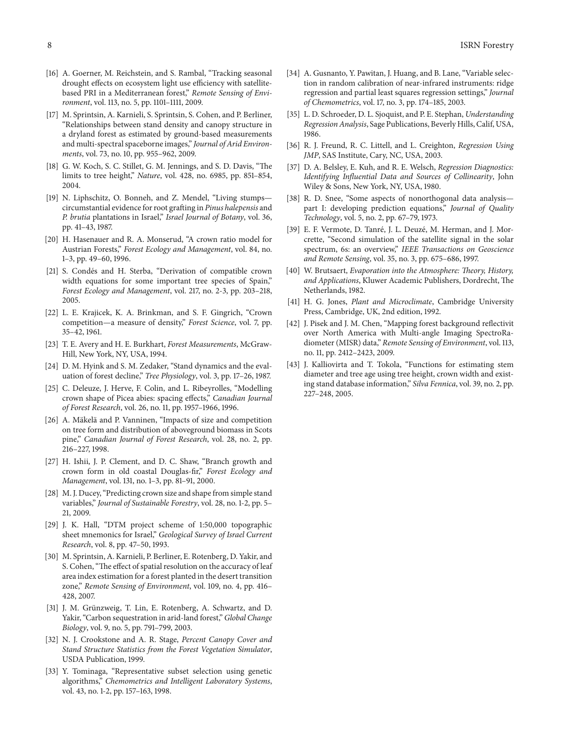- [16] A. Goerner, M. Reichstein, and S. Rambal, "Tracking seasonal drought effects on ecosystem light use efficiency with satellitebased PRI in a Mediterranean forest," Remote Sensing of Environment, vol. 113, no. 5, pp. 1101–1111, 2009.
- [17] M. Sprintsin, A. Karnieli, S. Sprintsin, S. Cohen, and P. Berliner, "Relationships between stand density and canopy structure in a dryland forest as estimated by ground-based measurements and multi-spectral spaceborne images," Journal of Arid Environments, vol. 73, no. 10, pp. 955–962, 2009.
- [18] G. W. Koch, S. C. Stillet, G. M. Jennings, and S. D. Davis, "The limits to tree height," Nature, vol. 428, no. 6985, pp. 851–854, 2004.
- [19] N. Liphschitz, O. Bonneh, and Z. Mendel, "Living stumps circumstantial evidence for root grafting in Pinus halepensis and P. brutia plantations in Israel," Israel Journal of Botany, vol. 36, pp. 41–43, 1987.
- [20] H. Hasenauer and R. A. Monserud, "A crown ratio model for Austrian Forests," Forest Ecology and Management, vol. 84, no. 1–3, pp. 49–60, 1996.
- [21] S. Condés and H. Sterba, "Derivation of compatible crown width equations for some important tree species of Spain," Forest Ecology and Management, vol. 217, no. 2-3, pp. 203–218, 2005.
- [22] L. E. Krajicek, K. A. Brinkman, and S. F. Gingrich, "Crown competition—a measure of density," Forest Science, vol. 7, pp. 35–42, 1961.
- [23] T. E. Avery and H. E. Burkhart, Forest Measurements, McGraw-Hill, New York, NY, USA, 1994.
- [24] D. M. Hyink and S. M. Zedaker, "Stand dynamics and the evaluation of forest decline," Tree Physiology, vol. 3, pp. 17–26, 1987.
- [25] C. Deleuze, J. Herve, F. Colin, and L. Ribeyrolles, "Modelling crown shape of Picea abies: spacing effects," Canadian Journal of Forest Research, vol. 26, no. 11, pp. 1957–1966, 1996.
- [26] A. Mäkelä and P. Vanninen, "Impacts of size and competition on tree form and distribution of aboveground biomass in Scots pine," Canadian Journal of Forest Research, vol. 28, no. 2, pp. 216–227, 1998.
- [27] H. Ishii, J. P. Clement, and D. C. Shaw, "Branch growth and crown form in old coastal Douglas-fir," Forest Ecology and Management, vol. 131, no. 1–3, pp. 81–91, 2000.
- [28] M. J. Ducey, "Predicting crown size and shape from simple stand variables," Journal of Sustainable Forestry, vol. 28, no. 1-2, pp. 5– 21, 2009.
- [29] J. K. Hall, "DTM project scheme of 1:50,000 topographic sheet mnemonics for Israel," Geological Survey of Israel Current Research, vol. 8, pp. 47–50, 1993.
- [30] M. Sprintsin, A. Karnieli, P. Berliner, E. Rotenberg, D. Yakir, and S. Cohen, "The effect of spatial resolution on the accuracy of leaf area index estimation for a forest planted in the desert transition zone," Remote Sensing of Environment, vol. 109, no. 4, pp. 416– 428, 2007.
- [31] J. M. Grünzweig, T. Lin, E. Rotenberg, A. Schwartz, and D. Yakir, "Carbon sequestration in arid-land forest," Global Change Biology, vol. 9, no. 5, pp. 791–799, 2003.
- [32] N. J. Crookstone and A. R. Stage, Percent Canopy Cover and Stand Structure Statistics from the Forest Vegetation Simulator, USDA Publication, 1999.
- [33] Y. Tominaga, "Representative subset selection using genetic algorithms," Chemometrics and Intelligent Laboratory Systems, vol. 43, no. 1-2, pp. 157–163, 1998.
- [34] A. Gusnanto, Y. Pawitan, J. Huang, and B. Lane, "Variable selection in random calibration of near-infrared instruments: ridge regression and partial least squares regression settings," Journal of Chemometrics, vol. 17, no. 3, pp. 174–185, 2003.
- [35] L. D. Schroeder, D. L. Sjoquist, and P. E. Stephan, Understanding Regression Analysis, Sage Publications, Beverly Hills, Calif, USA, 1986.
- [36] R. J. Freund, R. C. Littell, and L. Creighton, Regression Using JMP, SAS Institute, Cary, NC, USA, 2003.
- [37] D. A. Belsley, E. Kuh, and R. E. Welsch, Regression Diagnostics: Identifying Influential Data and Sources of Collinearity, John Wiley & Sons, New York, NY, USA, 1980.
- [38] R. D. Snee, "Some aspects of nonorthogonal data analysis part I: developing prediction equations," Journal of Quality Technology, vol. 5, no. 2, pp. 67–79, 1973.
- [39] E. F. Vermote, D. Tanré, J. L. Deuzé, M. Herman, and J. Morcrette, "Second simulation of the satellite signal in the solar spectrum, 6s: an overview," IEEE Transactions on Geoscience and Remote Sensing, vol. 35, no. 3, pp. 675–686, 1997.
- [40] W. Brutsaert, Evaporation into the Atmosphere: Theory, History, and Applications, Kluwer Academic Publishers, Dordrecht, The Netherlands, 1982.
- [41] H. G. Jones, Plant and Microclimate, Cambridge University Press, Cambridge, UK, 2nd edition, 1992.
- [42] J. Pisek and J. M. Chen, "Mapping forest background reflectivit over North America with Multi-angle Imaging SpectroRadiometer (MISR) data," Remote Sensing of Environment, vol. 113, no. 11, pp. 2412–2423, 2009.
- [43] J. Kalliovirta and T. Tokola, "Functions for estimating stem diameter and tree age using tree height, crown width and existing stand database information," Silva Fennica, vol. 39, no. 2, pp. 227–248, 2005.